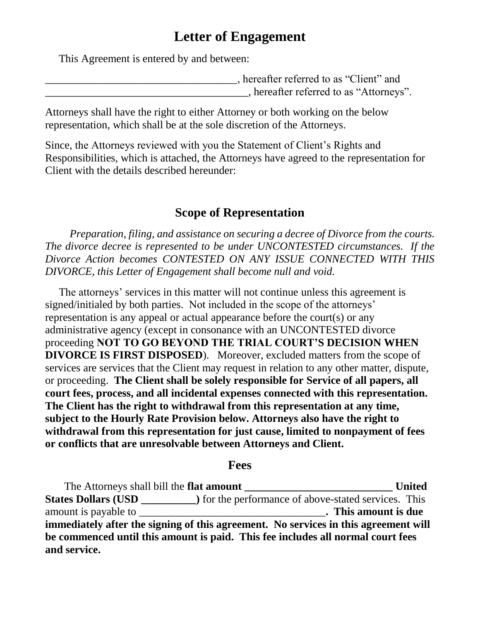# **Letter of Engagement**

This Agreement is entered by and between:

| , hereafter referred to as "Client" and |  |
|-----------------------------------------|--|
| , hereafter referred to as "Attorneys". |  |

Attorneys shall have the right to either Attorney or both working on the below representation, which shall be at the sole discretion of the Attorneys.

Since, the Attorneys reviewed with you the Statement of Client's Rights and Responsibilities, which is attached, the Attorneys have agreed to the representation for Client with the details described hereunder:

# **Scope of Representation**

 *Preparation, filing, and assistance on securing a decree of Divorce from the courts. The divorce decree is represented to be under UNCONTESTED circumstances. If the Divorce Action becomes CONTESTED ON ANY ISSUE CONNECTED WITH THIS DIVORCE, this Letter of Engagement shall become null and void.* 

 The attorneys' services in this matter will not continue unless this agreement is signed/initialed by both parties. Not included in the scope of the attorneys' representation is any appeal or actual appearance before the court(s) or any administrative agency (except in consonance with an UNCONTESTED divorce proceeding **NOT TO GO BEYOND THE TRIAL COURT'S DECISION WHEN DIVORCE IS FIRST DISPOSED**). Moreover, excluded matters from the scope of services are services that the Client may request in relation to any other matter, dispute, or proceeding. **The Client shall be solely responsible for Service of all papers, all court fees, process, and all incidental expenses connected with this representation. The Client has the right to withdrawal from this representation at any time, subject to the Hourly Rate Provision below. Attorneys also have the right to withdrawal from this representation for just cause, limited to nonpayment of fees or conflicts that are unresolvable between Attorneys and Client.**

#### **Fees**

 The Attorneys shall bill the **flat amount \_\_\_\_\_\_\_\_\_\_\_\_\_\_\_\_\_\_\_\_\_\_\_\_\_\_\_ United States Dollars (USD \_\_\_\_\_\_\_\_\_\_)** for the performance of above-stated services. This amount is payable to \_\_\_\_\_\_\_\_\_\_\_\_\_\_\_\_\_\_\_\_\_\_\_\_\_\_\_\_\_\_\_\_\_\_**. This amount is due immediately after the signing of this agreement. No services in this agreement will be commenced until this amount is paid. This fee includes all normal court fees and service.**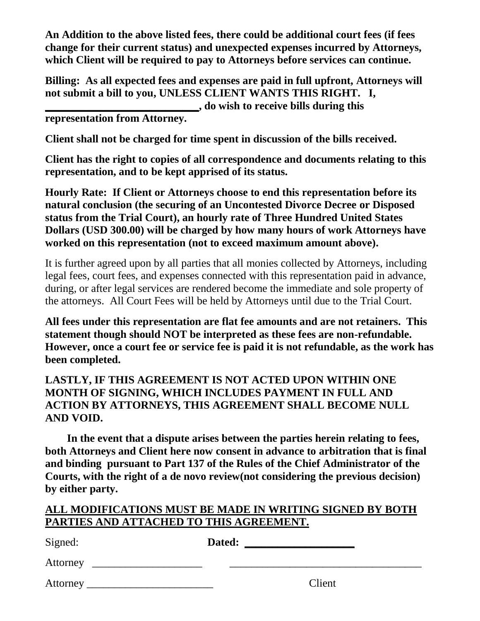**An Addition to the above listed fees, there could be additional court fees (if fees change for their current status) and unexpected expenses incurred by Attorneys, which Client will be required to pay to Attorneys before services can continue.** 

**Billing: As all expected fees and expenses are paid in full upfront, Attorneys will not submit a bill to you, UNLESS CLIENT WANTS THIS RIGHT. I, \_\_\_\_\_\_\_\_\_\_\_\_\_\_\_\_\_\_\_\_\_\_\_\_\_\_\_\_, do wish to receive bills during this** 

**representation from Attorney.** 

**Client shall not be charged for time spent in discussion of the bills received.**

**Client has the right to copies of all correspondence and documents relating to this representation, and to be kept apprised of its status.**

**Hourly Rate: If Client or Attorneys choose to end this representation before its natural conclusion (the securing of an Uncontested Divorce Decree or Disposed status from the Trial Court), an hourly rate of Three Hundred United States Dollars (USD 300.00) will be charged by how many hours of work Attorneys have worked on this representation (not to exceed maximum amount above).** 

It is further agreed upon by all parties that all monies collected by Attorneys, including legal fees, court fees, and expenses connected with this representation paid in advance, during, or after legal services are rendered become the immediate and sole property of the attorneys. All Court Fees will be held by Attorneys until due to the Trial Court.

**All fees under this representation are flat fee amounts and are not retainers. This statement though should NOT be interpreted as these fees are non-refundable. However, once a court fee or service fee is paid it is not refundable, as the work has been completed.** 

### **LASTLY, IF THIS AGREEMENT IS NOT ACTED UPON WITHIN ONE MONTH OF SIGNING, WHICH INCLUDES PAYMENT IN FULL AND ACTION BY ATTORNEYS, THIS AGREEMENT SHALL BECOME NULL AND VOID.**

 **In the event that a dispute arises between the parties herein relating to fees, both Attorneys and Client here now consent in advance to arbitration that is final and binding pursuant to Part 137 of the Rules of the Chief Administrator of the Courts, with the right of a de novo review(not considering the previous decision) by either party.**

#### **ALL MODIFICATIONS MUST BE MADE IN WRITING SIGNED BY BOTH PARTIES AND ATTACHED TO THIS AGREEMENT.**

| Signed:  | Dated: |        |
|----------|--------|--------|
| Attorney |        |        |
|          |        | Client |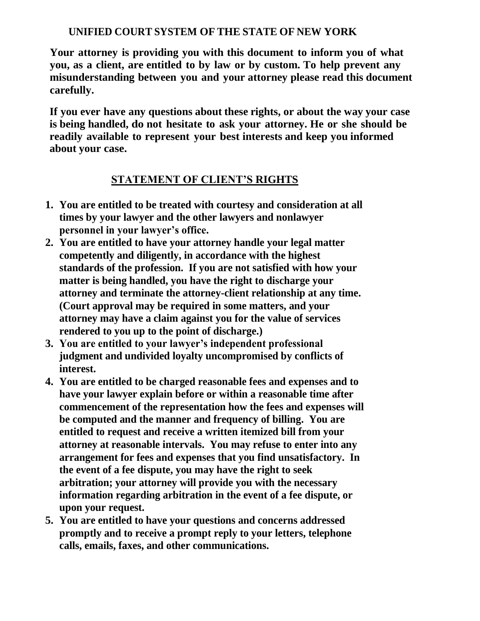### **UNIFIED COURT SYSTEM OF THE STATE OF NEW YORK**

**Your attorney is providing you with this document to inform you of what you, as a client, are entitled to by law or by custom. To help prevent any misunderstanding between you and your attorney please read this document carefully.**

**If you ever have any questions about these rights, or about the way your case is being handled, do not hesitate to ask your attorney. He or she should be readily available to represent your best interests and keep you informed about your case.**

#### **STATEMENT OF CLIENT'S RIGHTS**

- **1. You are entitled to be treated with courtesy and consideration at all times by your lawyer and the other lawyers and nonlawyer personnel in your lawyer's office.**
- **2. You are entitled to have your attorney handle your legal matter competently and diligently, in accordance with the highest standards of the profession. If you are not satisfied with how your matter is being handled, you have the right to discharge your attorney and terminate the attorney-client relationship at any time. (Court approval may be required in some matters, and your attorney may have a claim against you for the value of services rendered to you up to the point of discharge.)**
- **3. You are entitled to your lawyer's independent professional judgment and undivided loyalty uncompromised by conflicts of interest.**
- **4. You are entitled to be charged reasonable fees and expenses and to have your lawyer explain before or within a reasonable time after commencement of the representation how the fees and expenses will be computed and the manner and frequency of billing. You are entitled to request and receive a written itemized bill from your attorney at reasonable intervals. You may refuse to enter into any arrangement for fees and expenses that you find unsatisfactory. In the event of a fee dispute, you may have the right to seek arbitration; your attorney will provide you with the necessary information regarding arbitration in the event of a fee dispute, or upon your request.**
- **5. You are entitled to have your questions and concerns addressed promptly and to receive a prompt reply to your letters, telephone calls, emails, faxes, and other communications.**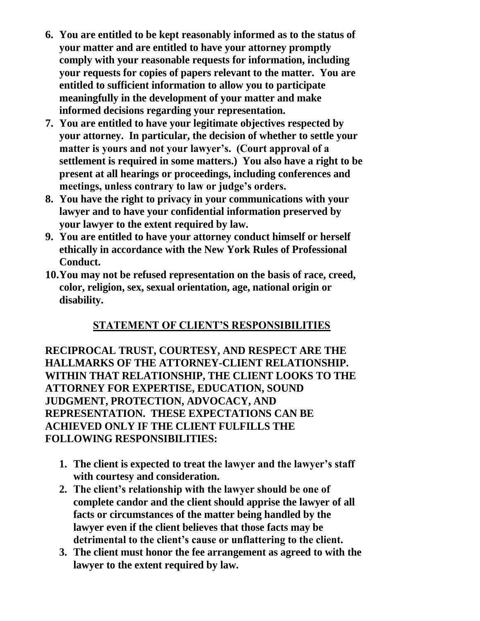- **6. You are entitled to be kept reasonably informed as to the status of your matter and are entitled to have your attorney promptly comply with your reasonable requests for information, including your requests for copies of papers relevant to the matter. You are entitled to sufficient information to allow you to participate meaningfully in the development of your matter and make informed decisions regarding your representation.**
- **7. You are entitled to have your legitimate objectives respected by your attorney. In particular, the decision of whether to settle your matter is yours and not your lawyer's. (Court approval of a settlement is required in some matters.) You also have a right to be present at all hearings or proceedings, including conferences and meetings, unless contrary to law or judge's orders.**
- **8. You have the right to privacy in your communications with your lawyer and to have your confidential information preserved by your lawyer to the extent required by law.**
- **9. You are entitled to have your attorney conduct himself or herself ethically in accordance with the New York Rules of Professional Conduct.**
- **10.You may not be refused representation on the basis of race, creed, color, religion, sex, sexual orientation, age, national origin or disability.**

# **STATEMENT OF CLIENT'S RESPONSIBILITIES**

**RECIPROCAL TRUST, COURTESY, AND RESPECT ARE THE HALLMARKS OF THE ATTORNEY-CLIENT RELATIONSHIP. WITHIN THAT RELATIONSHIP, THE CLIENT LOOKS TO THE ATTORNEY FOR EXPERTISE, EDUCATION, SOUND JUDGMENT, PROTECTION, ADVOCACY, AND REPRESENTATION. THESE EXPECTATIONS CAN BE ACHIEVED ONLY IF THE CLIENT FULFILLS THE FOLLOWING RESPONSIBILITIES:**

- **1. The client is expected to treat the lawyer and the lawyer's staff with courtesy and consideration.**
- **2. The client's relationship with the lawyer should be one of complete candor and the client should apprise the lawyer of all facts or circumstances of the matter being handled by the lawyer even if the client believes that those facts may be detrimental to the client's cause or unflattering to the client.**
- **3. The client must honor the fee arrangement as agreed to with the lawyer to the extent required by law.**